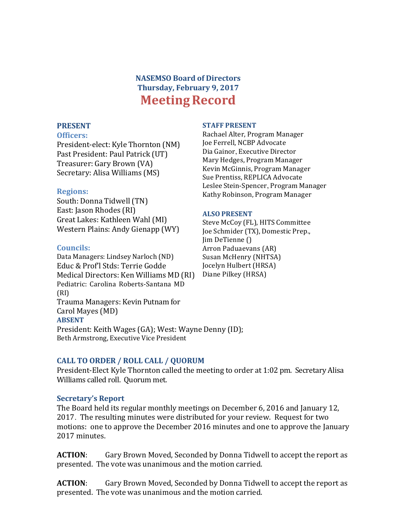# **NASEMSO Board of Directors Thursday, February 9, 2017 Meeting Record**

#### **PRESENT**

#### **Officers:**

President-elect: Kyle Thornton (NM) Past President: Paul Patrick (UT) Treasurer: Gary Brown (VA) Secretary: Alisa Williams (MS)

#### **Regions:**

South: Donna Tidwell (TN) East: Jason Rhodes (RI) Great Lakes: Kathleen Wahl (MI) Western Plains: Andy Gienapp (WY) 

#### **Councils:**

Data Managers: Lindsey Narloch (ND) Educ & Prof'l Stds: Terrie Godde Medical Directors: Ken Williams MD (RI) Pediatric: Carolina Roberts-Santana MD (RI) Trauma Managers: Kevin Putnam for Carol Mayes (MD) **ABSENT** President: Keith Wages (GA); West: Wayne Denny (ID); Beth Armstrong, Executive Vice President

#### **STAFF PRESENT**

Rachael Alter, Program Manager Joe Ferrell, NCBP Advocate Dia Gainor, Executive Director Mary Hedges, Program Manager Kevin McGinnis, Program Manager Sue Prentiss, REPLICA Advocate Leslee Stein-Spencer, Program Manager Kathy Robinson, Program Manager

#### **ALSO PRESENT**

Steve McCoy (FL), HITS Committee Joe Schmider (TX), Domestic Prep., Iim DeTienne () Arron Paduaevans (AR) Susan McHenry (NHTSA) Jocelyn Hulbert (HRSA) Diane Pilkey (HRSA)

## **CALL TO ORDER / ROLL CALL / QUORUM**

President-Elect Kyle Thornton called the meeting to order at 1:02 pm. Secretary Alisa Williams called roll. Ouorum met.

## **Secretary's Report**

The Board held its regular monthly meetings on December 6, 2016 and January 12, 2017. The resulting minutes were distributed for your review. Request for two motions: one to approve the December 2016 minutes and one to approve the January 2017 minutes.

**ACTION:** Gary Brown Moved, Seconded by Donna Tidwell to accept the report as presented. The vote was unanimous and the motion carried.

**ACTION:** Gary Brown Moved, Seconded by Donna Tidwell to accept the report as presented. The vote was unanimous and the motion carried.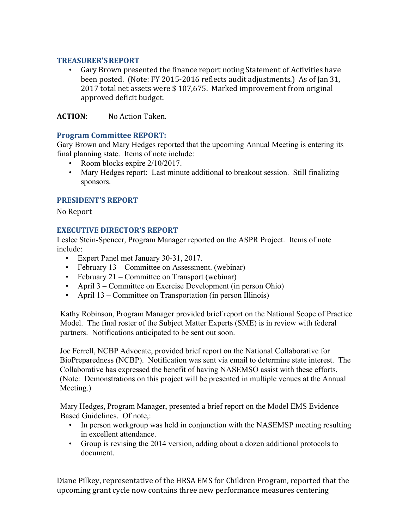## **TREASURER'SREPORT**

Gary Brown presented the finance report noting Statement of Activities have been posted. (Note: FY 2015-2016 reflects audit adjustments.) As of Jan 31, 2017 total net assets were \$107,675. Marked improvement from original approved deficit budget.

**ACTION:** No Action Taken.

# **Program Committee REPORT:**

Gary Brown and Mary Hedges reported that the upcoming Annual Meeting is entering its final planning state. Items of note include:

- Room blocks expire  $2/10/2017$ .
- Mary Hedges report: Last minute additional to breakout session. Still finalizing sponsors.

# **PRESIDENT'S REPORT**

No Report

# **EXECUTIVE DIRECTOR'S REPORT**

Leslee Stein-Spencer, Program Manager reported on the ASPR Project. Items of note include:

- Expert Panel met January 30-31, 2017.
- February 13 Committee on Assessment. (webinar)
- February 21 Committee on Transport (webinar)
- April 3 Committee on Exercise Development (in person Ohio)
- April 13 Committee on Transportation (in person Illinois)

Kathy Robinson, Program Manager provided brief report on the National Scope of Practice Model. The final roster of the Subject Matter Experts (SME) is in review with federal partners. Notifications anticipated to be sent out soon.

Joe Ferrell, NCBP Advocate, provided brief report on the National Collaborative for BioPreparedness (NCBP). Notification was sent via email to determine state interest. The Collaborative has expressed the benefit of having NASEMSO assist with these efforts. (Note: Demonstrations on this project will be presented in multiple venues at the Annual Meeting.)

Mary Hedges, Program Manager, presented a brief report on the Model EMS Evidence Based Guidelines. Of note,:

- In person workgroup was held in conjunction with the NASEMSP meeting resulting in excellent attendance.
- Group is revising the 2014 version, adding about a dozen additional protocols to document.

Diane Pilkey, representative of the HRSA EMS for Children Program, reported that the upcoming grant cycle now contains three new performance measures centering